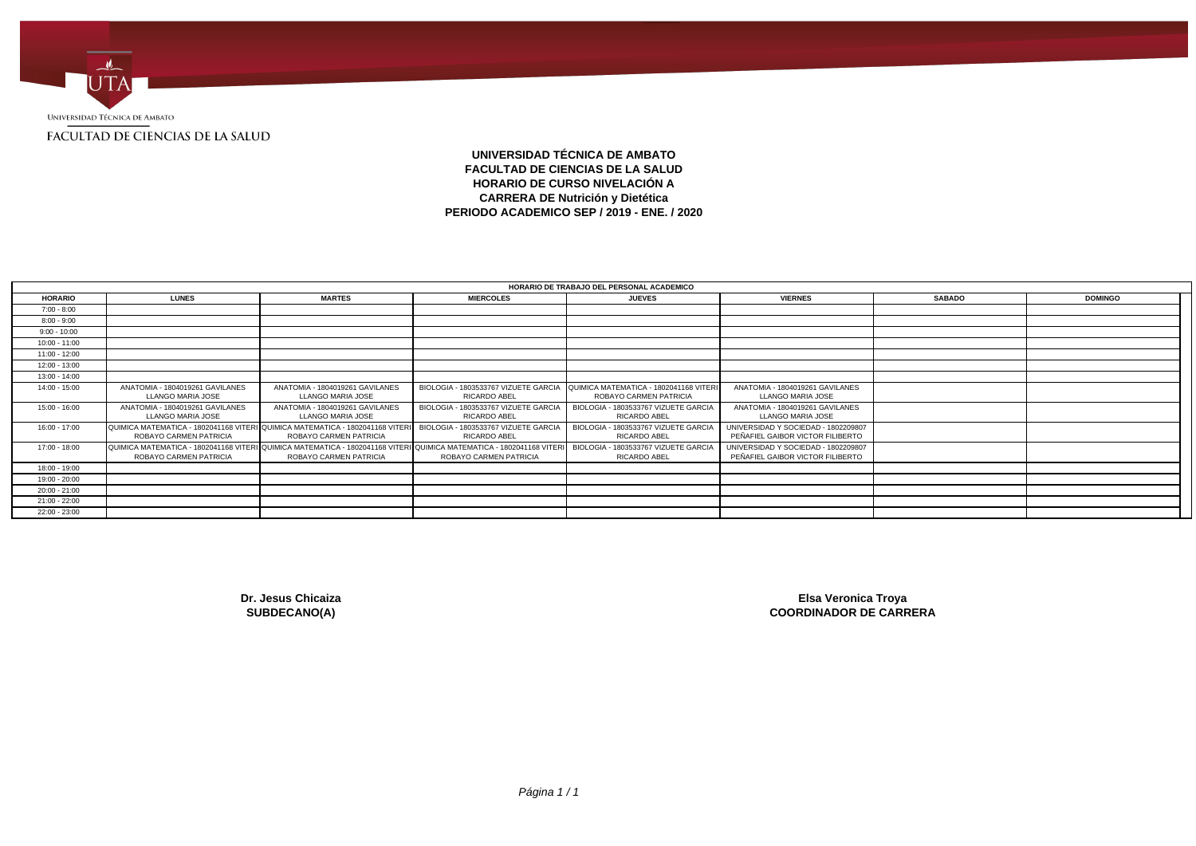

**UNIVERSIDAD TÉCNICA DE AMBATO FACULTAD DE CIENCIAS DE LA SALUD HORARIO DE CURSO NIVELACIÓN A CARRERA DE Nutrición y Dietética PERIODO ACADEMICO SEP / 2019 - ENE. / 2020**

| HORARIO DE TRABAJO DEL PERSONAL ACADEMICO |                                                                                                        |                                                                                                                                                |                                                             |                                                                  |                                                                         |               |                |  |
|-------------------------------------------|--------------------------------------------------------------------------------------------------------|------------------------------------------------------------------------------------------------------------------------------------------------|-------------------------------------------------------------|------------------------------------------------------------------|-------------------------------------------------------------------------|---------------|----------------|--|
| <b>HORARIO</b>                            | <b>LUNES</b>                                                                                           | <b>MARTES</b>                                                                                                                                  | <b>MIERCOLES</b>                                            | <b>JUEVES</b>                                                    | <b>VIERNES</b>                                                          | <b>SABADO</b> | <b>DOMINGO</b> |  |
| $7:00 - 8:00$                             |                                                                                                        |                                                                                                                                                |                                                             |                                                                  |                                                                         |               |                |  |
| $8:00 - 9:00$                             |                                                                                                        |                                                                                                                                                |                                                             |                                                                  |                                                                         |               |                |  |
| $9:00 - 10:00$                            |                                                                                                        |                                                                                                                                                |                                                             |                                                                  |                                                                         |               |                |  |
| 10:00 - 11:00                             |                                                                                                        |                                                                                                                                                |                                                             |                                                                  |                                                                         |               |                |  |
| 11:00 - 12:00                             |                                                                                                        |                                                                                                                                                |                                                             |                                                                  |                                                                         |               |                |  |
| 12:00 - 13:00                             |                                                                                                        |                                                                                                                                                |                                                             |                                                                  |                                                                         |               |                |  |
| 13:00 - 14:00                             |                                                                                                        |                                                                                                                                                |                                                             |                                                                  |                                                                         |               |                |  |
| 14:00 - 15:00                             | ANATOMIA - 1804019261 GAVILANES<br>LLANGO MARIA JOSE                                                   | ANATOMIA - 1804019261 GAVILANES<br>LLANGO MARIA JOSE                                                                                           | BIOLOGIA - 1803533767 VIZUETE GARCIA<br>RICARDO ABEL        | QUIMICA MATEMATICA - 1802041168 VITERI<br>ROBAYO CARMEN PATRICIA | ANATOMIA - 1804019261 GAVILANES<br>LLANGO MARIA JOSE                    |               |                |  |
| 15:00 - 16:00                             | ANATOMIA - 1804019261 GAVILANES<br>LLANGO MARIA JOSE                                                   | ANATOMIA - 1804019261 GAVILANES<br>LLANGO MARIA JOSE                                                                                           | BIOLOGIA - 1803533767 VIZUETE GARCIA<br>RICARDO ABEL        | BIOLOGIA - 1803533767 VIZUETE GARCIA<br>RICARDO ABEL             | ANATOMIA - 1804019261 GAVILANES<br>LLANGO MARIA JOSE                    |               |                |  |
| 16:00 - 17:00                             | QUIMICA MATEMATICA - 1802041168 VITERI QUIMICA MATEMATICA - 1802041168 VITER<br>ROBAYO CARMEN PATRICIA | ROBAYO CARMEN PATRICIA                                                                                                                         | BIOLOGIA - 1803533767 VIZUETE GARCIA<br><b>RICARDO ABEL</b> | BIOLOGIA - 1803533767 VIZUETE GARCIA<br>RICARDO ABEL             | UNIVERSIDAD Y SOCIEDAD - 1802209807<br>PEÑAFIEL GAIBOR VICTOR FILIBERTO |               |                |  |
| 17:00 - 18:00                             | ROBAYO CARMEN PATRICIA                                                                                 | QUIMICA MATEMATICA - 1802041168 VITERI QUIMICA MATEMATICA - 1802041168 VITERI QUIMICA MATEMATICA - 1802041168 VITERI<br>ROBAYO CARMEN PATRICIA | ROBAYO CARMEN PATRICIA                                      | BIOLOGIA - 1803533767 VIZUETE GARCIA<br><b>RICARDO ABEL</b>      | UNIVERSIDAD Y SOCIEDAD - 1802209807<br>PEÑAFIEL GAIBOR VICTOR FILIBERTO |               |                |  |
| 18:00 - 19:00                             |                                                                                                        |                                                                                                                                                |                                                             |                                                                  |                                                                         |               |                |  |
| 19:00 - 20:00                             |                                                                                                        |                                                                                                                                                |                                                             |                                                                  |                                                                         |               |                |  |
| $20:00 - 21:00$                           |                                                                                                        |                                                                                                                                                |                                                             |                                                                  |                                                                         |               |                |  |
| $21:00 - 22:00$                           |                                                                                                        |                                                                                                                                                |                                                             |                                                                  |                                                                         |               |                |  |
| 22:00 - 23:00                             |                                                                                                        |                                                                                                                                                |                                                             |                                                                  |                                                                         |               |                |  |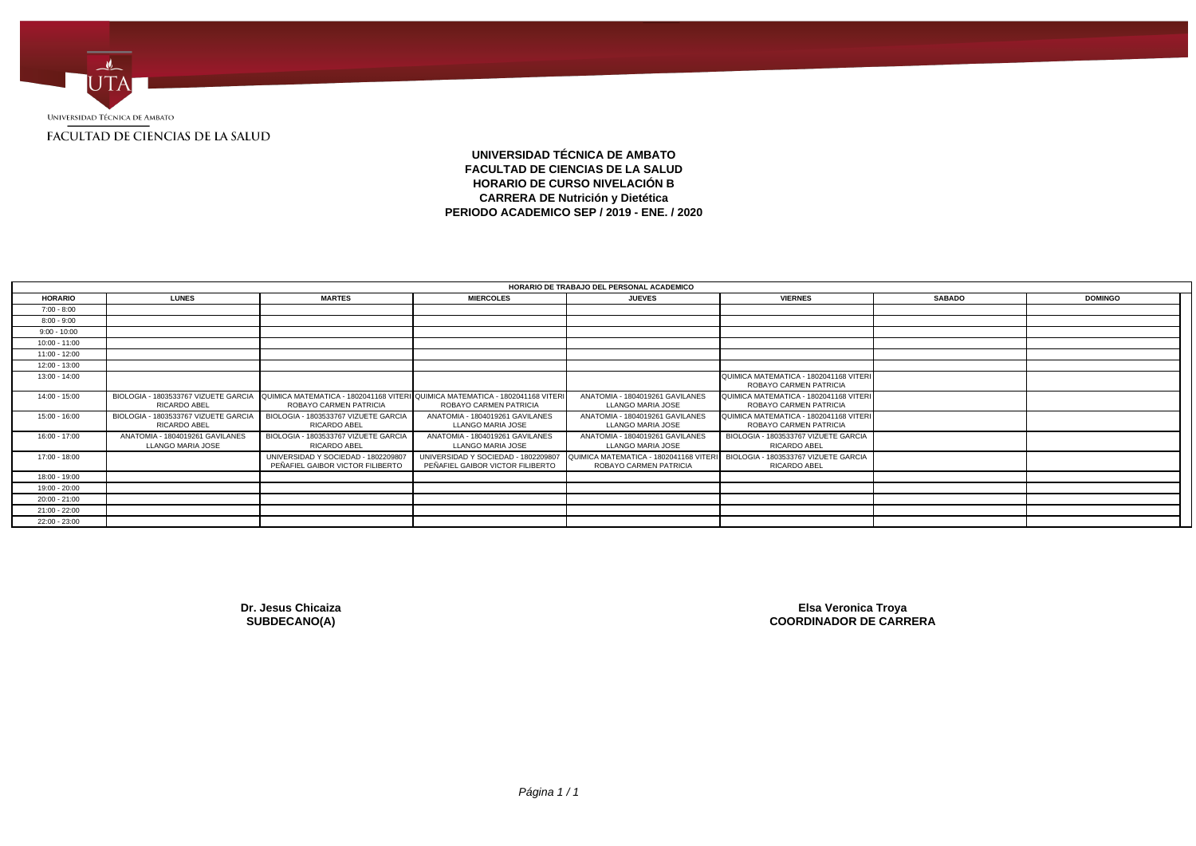

## **UNIVERSIDAD TÉCNICA DE AMBATO FACULTAD DE CIENCIAS DE LA SALUD HORARIO DE CURSO NIVELACIÓN B CARRERA DE Nutrición y Dietética PERIODO ACADEMICO SEP / 2019 - ENE. / 2020**

| HORARIO DE TRABAJO DEL PERSONAL ACADEMICO |                                                      |                                                                         |                                                                                                                                              |                                                                  |                                                                  |               |                |  |
|-------------------------------------------|------------------------------------------------------|-------------------------------------------------------------------------|----------------------------------------------------------------------------------------------------------------------------------------------|------------------------------------------------------------------|------------------------------------------------------------------|---------------|----------------|--|
| <b>HORARIO</b>                            | <b>LUNES</b>                                         | <b>MARTES</b>                                                           | <b>MIERCOLES</b>                                                                                                                             | <b>JUEVES</b>                                                    | <b>VIERNES</b>                                                   | <b>SABADO</b> | <b>DOMINGO</b> |  |
| $7:00 - 8:00$                             |                                                      |                                                                         |                                                                                                                                              |                                                                  |                                                                  |               |                |  |
| $8:00 - 9:00$                             |                                                      |                                                                         |                                                                                                                                              |                                                                  |                                                                  |               |                |  |
| $9:00 - 10:00$                            |                                                      |                                                                         |                                                                                                                                              |                                                                  |                                                                  |               |                |  |
| 10:00 - 11:00                             |                                                      |                                                                         |                                                                                                                                              |                                                                  |                                                                  |               |                |  |
| 11:00 - 12:00                             |                                                      |                                                                         |                                                                                                                                              |                                                                  |                                                                  |               |                |  |
| $12:00 - 13:00$                           |                                                      |                                                                         |                                                                                                                                              |                                                                  |                                                                  |               |                |  |
| 13:00 - 14:00                             |                                                      |                                                                         |                                                                                                                                              |                                                                  | QUIMICA MATEMATICA - 1802041168 VITERI<br>ROBAYO CARMEN PATRICIA |               |                |  |
| 14:00 - 15:00                             | RICARDO ABEL                                         | ROBAYO CARMEN PATRICIA                                                  | BIOLOGIA - 1803533767 VIZUETE GARCIA QUIMICA MATEMATICA - 1802041168 VITERI QUIMICA MATEMATICA - 1802041168 VITERI<br>ROBAYO CARMEN PATRICIA | ANATOMIA - 1804019261 GAVILANES<br>LLANGO MARIA JOSE             | QUIMICA MATEMATICA - 1802041168 VITERI<br>ROBAYO CARMEN PATRICIA |               |                |  |
| 15:00 - 16:00                             | BIOLOGIA - 1803533767 VIZUETE GARCIA<br>RICARDO ABEL | BIOLOGIA - 1803533767 VIZUETE GARCIA<br>RICARDO ABEL                    | ANATOMIA - 1804019261 GAVILANES<br>LLANGO MARIA JOSE                                                                                         | ANATOMIA - 1804019261 GAVILANES<br>LLANGO MARIA JOSE             | QUIMICA MATEMATICA - 1802041168 VITERI<br>ROBAYO CARMEN PATRICIA |               |                |  |
| 16:00 - 17:00                             | ANATOMIA - 1804019261 GAVILANES<br>LLANGO MARIA JOSE | BIOLOGIA - 1803533767 VIZUETE GARCIA<br>RICARDO ABEL                    | ANATOMIA - 1804019261 GAVILANES<br>LLANGO MARIA JOSE                                                                                         | ANATOMIA - 1804019261 GAVILANES<br>LLANGO MARIA JOSE             | BIOLOGIA - 1803533767 VIZUETE GARCIA<br><b>RICARDO ABEL</b>      |               |                |  |
| 17:00 - 18:00                             |                                                      | UNIVERSIDAD Y SOCIEDAD - 1802209807<br>PEÑAFIEL GAIBOR VICTOR FILIBERTO | UNIVERSIDAD Y SOCIEDAD - 1802209807<br>PEÑAFIEL GAIBOR VICTOR FILIBERTO                                                                      | QUIMICA MATEMATICA - 1802041168 VITERI<br>ROBAYO CARMEN PATRICIA | BIOLOGIA - 1803533767 VIZUETE GARCIA<br>RICARDO ABEL             |               |                |  |
| 18:00 - 19:00                             |                                                      |                                                                         |                                                                                                                                              |                                                                  |                                                                  |               |                |  |
| 19:00 - 20:00                             |                                                      |                                                                         |                                                                                                                                              |                                                                  |                                                                  |               |                |  |
| $20:00 - 21:00$                           |                                                      |                                                                         |                                                                                                                                              |                                                                  |                                                                  |               |                |  |
| $21:00 - 22:00$                           |                                                      |                                                                         |                                                                                                                                              |                                                                  |                                                                  |               |                |  |
| 22:00 - 23:00                             |                                                      |                                                                         |                                                                                                                                              |                                                                  |                                                                  |               |                |  |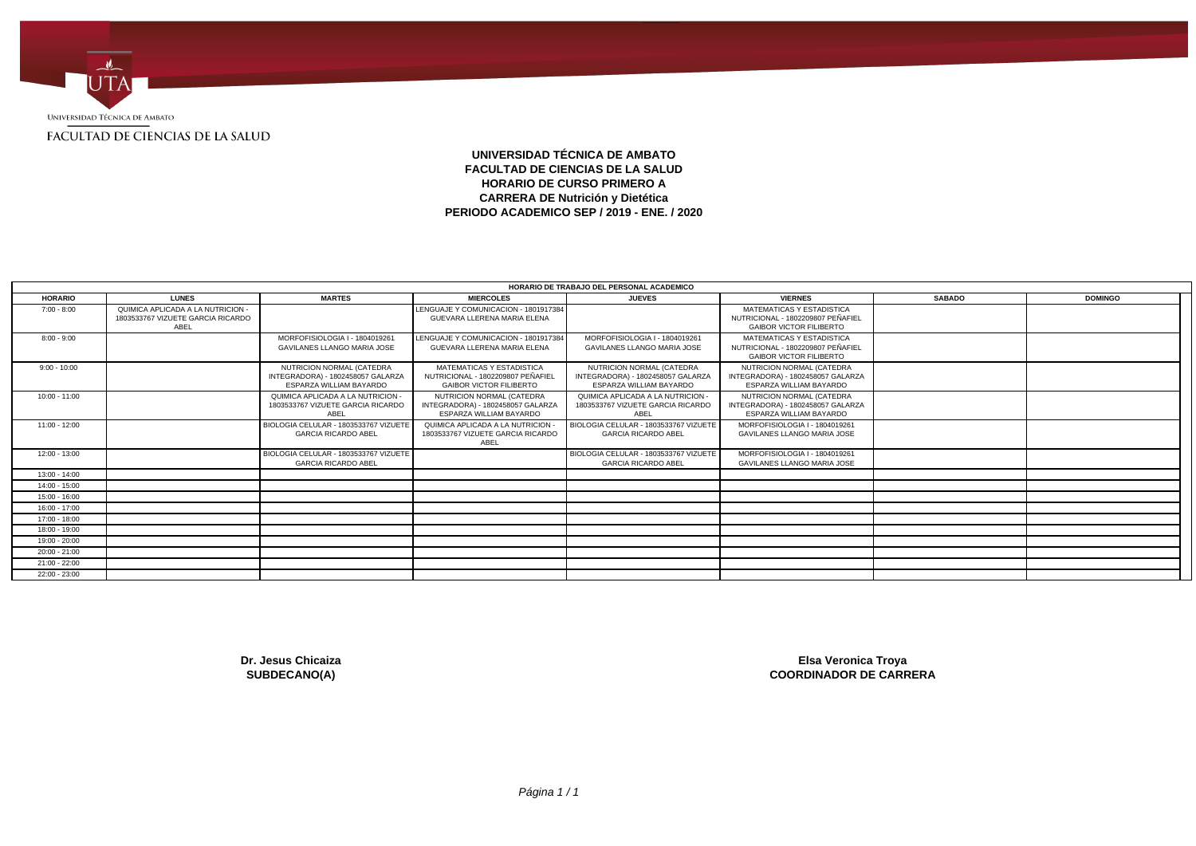

## **UNIVERSIDAD TÉCNICA DE AMBATO FACULTAD DE CIENCIAS DE LA SALUD HORARIO DE CURSO PRIMERO A CARRERA DE Nutrición y Dietética PERIODO ACADEMICO SEP / 2019 - ENE. / 2020**

|                 |                                                                                |                                                                                           |                                                                                                  | HORARIO DE TRABAJO DEL PERSONAL ACADEMICO                                                 |                                                                                                  |               |                |
|-----------------|--------------------------------------------------------------------------------|-------------------------------------------------------------------------------------------|--------------------------------------------------------------------------------------------------|-------------------------------------------------------------------------------------------|--------------------------------------------------------------------------------------------------|---------------|----------------|
| <b>HORARIO</b>  | <b>LUNES</b>                                                                   | <b>MARTES</b>                                                                             | <b>MIERCOLES</b>                                                                                 | <b>JUEVES</b>                                                                             | <b>VIERNES</b>                                                                                   | <b>SABADO</b> | <b>DOMINGO</b> |
| $7:00 - 8:00$   | QUIMICA APLICADA A LA NUTRICION -<br>1803533767 VIZUETE GARCIA RICARDO<br>ABEL |                                                                                           | LENGUAJE Y COMUNICACION - 1801917384<br>GUEVARA LLERENA MARIA ELENA                              |                                                                                           | MATEMATICAS Y ESTADISTICA<br>NUTRICIONAL - 1802209807 PEÑAFIEL<br><b>GAIBOR VICTOR FILIBERTO</b> |               |                |
| $8:00 - 9:00$   |                                                                                | MORFOFISIOLOGIA I - 1804019261<br><b>GAVILANES LLANGO MARIA JOSE</b>                      | LENGUAJE Y COMUNICACION - 1801917384<br>GUEVARA LLERENA MARIA ELENA                              | MORFOFISIOLOGIA I - 1804019261<br>GAVILANES LLANGO MARIA JOSE                             | MATEMATICAS Y ESTADISTICA<br>NUTRICIONAL - 1802209807 PEÑAFIEL<br><b>GAIBOR VICTOR FILIBERTO</b> |               |                |
| $9:00 - 10:00$  |                                                                                | NUTRICION NORMAL (CATEDRA<br>INTEGRADORA) - 1802458057 GALARZA<br>ESPARZA WILLIAM BAYARDO | MATEMATICAS Y ESTADISTICA<br>NUTRICIONAL - 1802209807 PEÑAFIEL<br><b>GAIBOR VICTOR FILIBERTO</b> | NUTRICION NORMAL (CATEDRA<br>INTEGRADORA) - 1802458057 GALARZA<br>ESPARZA WILLIAM BAYARDO | NUTRICION NORMAL (CATEDRA<br>INTEGRADORA) - 1802458057 GALARZA<br>ESPARZA WILLIAM BAYARDO        |               |                |
| $10:00 - 11:00$ |                                                                                | QUIMICA APLICADA A LA NUTRICION -<br>1803533767 VIZUETE GARCIA RICARDO<br><b>ABEL</b>     | NUTRICION NORMAL (CATEDRA<br>INTEGRADORA) - 1802458057 GALARZA<br>ESPARZA WILLIAM BAYARDO        | QUIMICA APLICADA A LA NUTRICION -<br>1803533767 VIZUETE GARCIA RICARDO<br>ABEL            | NUTRICION NORMAL (CATEDRA<br>INTEGRADORA) - 1802458057 GALARZA<br><b>ESPARZA WILLIAM BAYARDO</b> |               |                |
| $11:00 - 12:00$ |                                                                                | BIOLOGIA CELULAR - 1803533767 VIZUETE<br><b>GARCIA RICARDO ABEL</b>                       | QUIMICA APLICADA A LA NUTRICION<br>1803533767 VIZUETE GARCIA RICARDO<br>ABEL                     | BIOLOGIA CELULAR - 1803533767 VIZUETE<br><b>GARCIA RICARDO ABEL</b>                       | MORFOFISIOLOGIA I - 1804019261<br><b>GAVILANES LLANGO MARIA JOSE</b>                             |               |                |
| $12:00 - 13:00$ |                                                                                | BIOLOGIA CELULAR - 1803533767 VIZUETE<br><b>GARCIA RICARDO ABEL</b>                       |                                                                                                  | BIOLOGIA CELULAR - 1803533767 VIZUETE<br><b>GARCIA RICARDO ABEL</b>                       | MORFOFISIOLOGIA I - 1804019261<br><b>GAVILANES LLANGO MARIA JOSE</b>                             |               |                |
| $13:00 - 14:00$ |                                                                                |                                                                                           |                                                                                                  |                                                                                           |                                                                                                  |               |                |
| 14:00 - 15:00   |                                                                                |                                                                                           |                                                                                                  |                                                                                           |                                                                                                  |               |                |
| $15:00 - 16:00$ |                                                                                |                                                                                           |                                                                                                  |                                                                                           |                                                                                                  |               |                |
| $16:00 - 17:00$ |                                                                                |                                                                                           |                                                                                                  |                                                                                           |                                                                                                  |               |                |
| 17:00 - 18:00   |                                                                                |                                                                                           |                                                                                                  |                                                                                           |                                                                                                  |               |                |
| 18:00 - 19:00   |                                                                                |                                                                                           |                                                                                                  |                                                                                           |                                                                                                  |               |                |
| 19:00 - 20:00   |                                                                                |                                                                                           |                                                                                                  |                                                                                           |                                                                                                  |               |                |
| $20:00 - 21:00$ |                                                                                |                                                                                           |                                                                                                  |                                                                                           |                                                                                                  |               |                |
| $21:00 - 22:00$ |                                                                                |                                                                                           |                                                                                                  |                                                                                           |                                                                                                  |               |                |
| 22:00 - 23:00   |                                                                                |                                                                                           |                                                                                                  |                                                                                           |                                                                                                  |               |                |